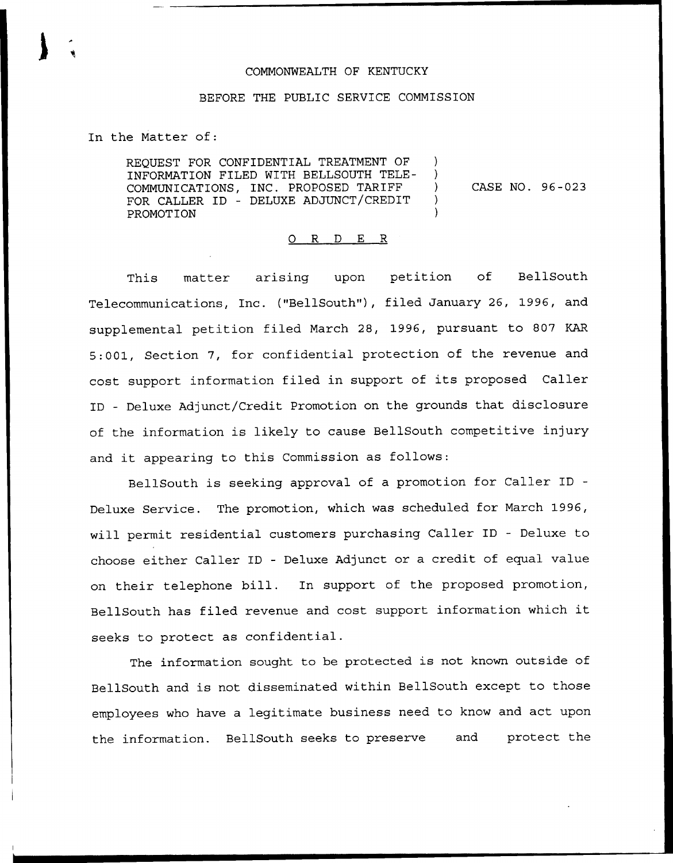## COMMONWEALTH OF KENTUCKY

## BEFORE THE PUBLIC SERVICE COMMISSION

In the Matter of:

REQUEST FOR CONFIDENTIAL TREATMENT OF INFORMATION FILED WITH BELLSOUTH TELE-Δ. COMMUNICATIONS, INC. PROPOSED TARIFF  $\mathcal{L}$ FOR CALLER ID — DELUXE ADJUNCT/CREDIT  $\mathcal{F}$ PROMOTION

CASE NO. 96 —023

## 0 R <sup>D</sup> E R

This matter arising upon petition of BellSout Telecommunications, Inc. ("BellSouth"), filed January 26, 1996, and supplemental petition filed March 28, 1996, pursuant to S07 KAR 5:001, Section 7, for confidential protection of the revenue and cost support information filed in support of its proposed Caller ID — Deluxe Adjunct/Credit Promotion on the grounds that disclosure of the information is likely to cause BellSouth competitive injury and it appearing to this Commission as follows:

BellSouth is seeking approval of a promotion for Caller ID Deluxe Service. The promotion, which was scheduled for March 1996, will permit residential customers purchasing Caller ID — Deluxe to choose either Caller ID — Deluxe Adjunct or a credit of equal value on their telephone bill. In support of the proposed promotion, BellSouth has filed revenue and cost support information which it seeks to protect as confidential.

The information sought to be protected is not known outside of BellSouth and is not disseminated within BellSouth except to those employees who have a legitimate business need to know and act upon the information. BellSouth seeks to preserve and protect the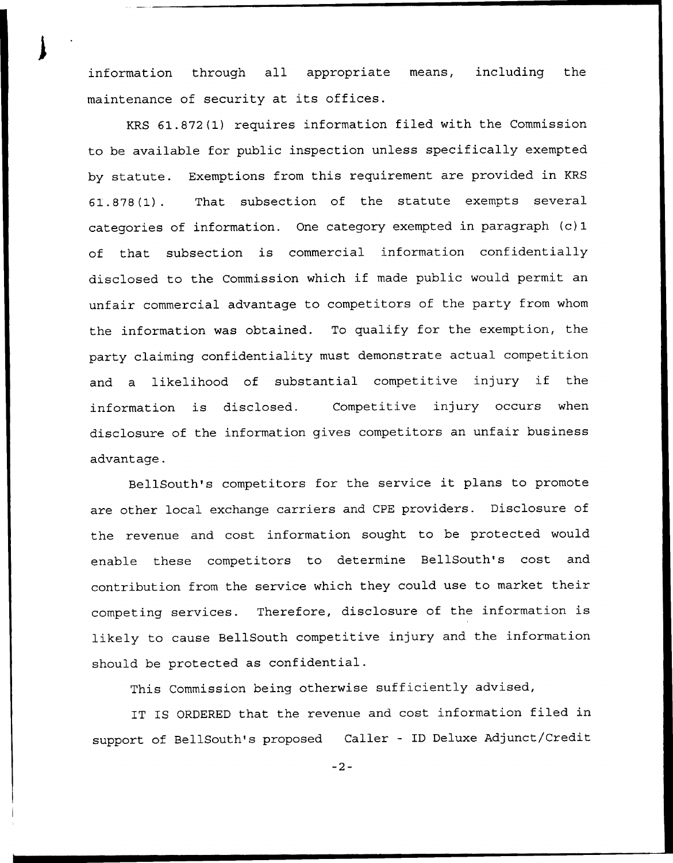information through all appropriate means, including the maintenance of security at its offices.

KRS 61.872(1) requires information filed with the Commission to be available for public inspection unless specifically exempted by statute. Exemptions from this requirement are provided in KRS 61.878(1). That subsection of the statute exempts several categories of information. One category exempted in paragraph (c) 1 of that subsection is commercial information confidentially disclosed to the Commission which if made public would permit an unfair commercial advantage to competitors of the party from whom the information was obtained. To qualify for the exemption, the party claiming confidentiality must demonstrate actual competition and <sup>a</sup> likelihood of substantial competitive injury if the information is disclosed. Competitive injury occurs when disclosure of the information gives competitors an unfair business advantage.

BellSouth's competitors for the service it plans to promote are other local exchange carriers and CPE providers. Disclosure of the revenue and cost information sought to be protected would enable these competitors to determine BellSouth's cost and contribution from the service which they could use to market their competing services. Therefore, disclosure of the information is likely to cause BellSouth competitive injury and the information should be protected as confidential.

This Commission being otherwise sufficiently advised,

IT IS ORDERED that the revenue and cost information filed in support of BellSouth's proposed Caller — ID Deluxe Adjunct/Credit

 $-2-$